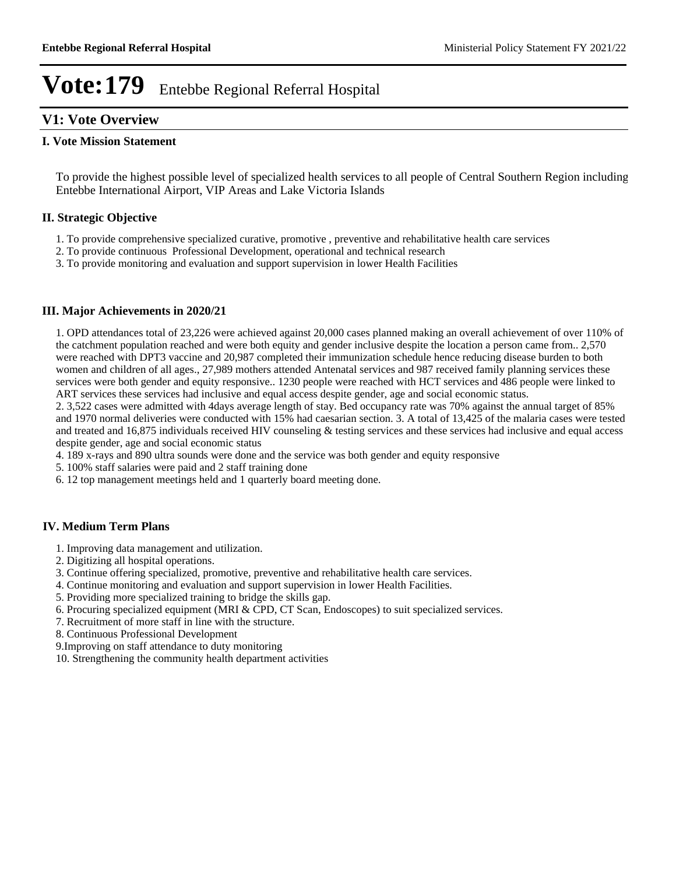## **V1: Vote Overview**

### **I. Vote Mission Statement**

To provide the highest possible level of specialized health services to all people of Central Southern Region including Entebbe International Airport, VIP Areas and Lake Victoria Islands

## **II. Strategic Objective**

- 1. To provide comprehensive specialized curative, promotive , preventive and rehabilitative health care services
- 2. To provide continuous Professional Development, operational and technical research
- 3. To provide monitoring and evaluation and support supervision in lower Health Facilities

### **III. Major Achievements in 2020/21**

1. OPD attendances total of 23,226 were achieved against 20,000 cases planned making an overall achievement of over 110% of the catchment population reached and were both equity and gender inclusive despite the location a person came from.. 2,570 were reached with DPT3 vaccine and 20,987 completed their immunization schedule hence reducing disease burden to both women and children of all ages., 27,989 mothers attended Antenatal services and 987 received family planning services these services were both gender and equity responsive.. 1230 people were reached with HCT services and 486 people were linked to ART services these services had inclusive and equal access despite gender, age and social economic status.

2. 3,522 cases were admitted with 4days average length of stay. Bed occupancy rate was 70% against the annual target of 85% and 1970 normal deliveries were conducted with 15% had caesarian section. 3. A total of 13,425 of the malaria cases were tested and treated and 16,875 individuals received HIV counseling & testing services and these services had inclusive and equal access despite gender, age and social economic status

- 4. 189 x-rays and 890 ultra sounds were done and the service was both gender and equity responsive
- 5. 100% staff salaries were paid and 2 staff training done
- 6. 12 top management meetings held and 1 quarterly board meeting done.

## **IV. Medium Term Plans**

- 1. Improving data management and utilization.
- 2. Digitizing all hospital operations.
- 3. Continue offering specialized, promotive, preventive and rehabilitative health care services.
- 4. Continue monitoring and evaluation and support supervision in lower Health Facilities.
- 5. Providing more specialized training to bridge the skills gap.
- 6. Procuring specialized equipment (MRI & CPD, CT Scan, Endoscopes) to suit specialized services.
- 7. Recruitment of more staff in line with the structure.
- 8. Continuous Professional Development
- 9.Improving on staff attendance to duty monitoring
- 10. Strengthening the community health department activities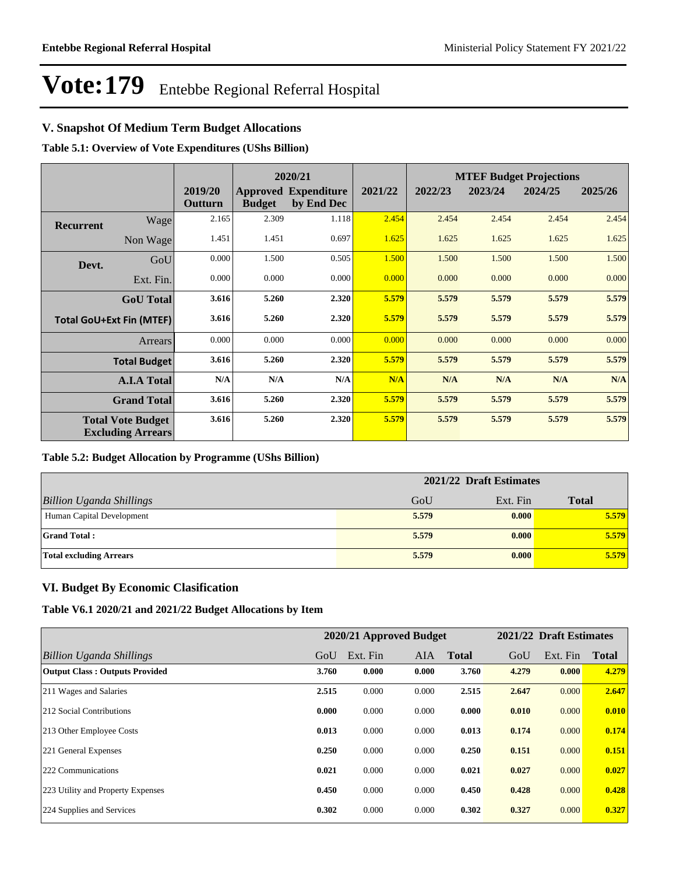## **V. Snapshot Of Medium Term Budget Allocations**

**Table 5.1: Overview of Vote Expenditures (UShs Billion)**

|                                 | 2020/21                                              |                    |               | <b>MTEF Budget Projections</b>            |         |         |         |         |         |
|---------------------------------|------------------------------------------------------|--------------------|---------------|-------------------------------------------|---------|---------|---------|---------|---------|
|                                 |                                                      | 2019/20<br>Outturn | <b>Budget</b> | <b>Approved Expenditure</b><br>by End Dec | 2021/22 | 2022/23 | 2023/24 | 2024/25 | 2025/26 |
| <b>Recurrent</b>                | Wage                                                 | 2.165              | 2.309         | 1.118                                     | 2.454   | 2.454   | 2.454   | 2.454   | 2.454   |
|                                 | Non Wage                                             | 1.451              | 1.451         | 0.697                                     | 1.625   | 1.625   | 1.625   | 1.625   | 1.625   |
| Devt.                           | GoU                                                  | 0.000              | 1.500         | 0.505                                     | 1.500   | 1.500   | 1.500   | 1.500   | 1.500   |
|                                 | Ext. Fin.                                            | 0.000              | 0.000         | 0.000                                     | 0.000   | 0.000   | 0.000   | 0.000   | 0.000   |
|                                 | <b>GoU</b> Total                                     | 3.616              | 5.260         | 2.320                                     | 5.579   | 5.579   | 5.579   | 5.579   | 5.579   |
| <b>Total GoU+Ext Fin (MTEF)</b> |                                                      | 3.616              | 5.260         | 2.320                                     | 5.579   | 5.579   | 5.579   | 5.579   | 5.579   |
|                                 | <b>Arrears</b>                                       | 0.000              | 0.000         | 0.000                                     | 0.000   | 0.000   | 0.000   | 0.000   | 0.000   |
|                                 | <b>Total Budget</b>                                  | 3.616              | 5.260         | 2.320                                     | 5.579   | 5.579   | 5.579   | 5.579   | 5.579   |
|                                 | <b>A.I.A Total</b>                                   | N/A                | N/A           | N/A                                       | N/A     | N/A     | N/A     | N/A     | N/A     |
|                                 | <b>Grand Total</b>                                   | 3.616              | 5.260         | 2.320                                     | 5.579   | 5.579   | 5.579   | 5.579   | 5.579   |
|                                 | <b>Total Vote Budget</b><br><b>Excluding Arrears</b> | 3.616              | 5.260         | 2.320                                     | 5.579   | 5.579   | 5.579   | 5.579   | 5.579   |

### **Table 5.2: Budget Allocation by Programme (UShs Billion)**

|                                 | 2021/22 Draft Estimates |          |              |  |  |
|---------------------------------|-------------------------|----------|--------------|--|--|
| <b>Billion Uganda Shillings</b> | GoU                     | Ext. Fin | <b>Total</b> |  |  |
| Human Capital Development       | 5.579                   | 0.000    | 5.579        |  |  |
| <b>Grand Total:</b>             | 5.579                   | 0.000    | 5.579        |  |  |
| <b>Total excluding Arrears</b>  | 5.579                   | 0.000    | 5.579        |  |  |

## **VI. Budget By Economic Clasification**

**Table V6.1 2020/21 and 2021/22 Budget Allocations by Item**

|                                       | 2020/21 Approved Budget |          |            |              | 2021/22 Draft Estimates |          |              |
|---------------------------------------|-------------------------|----------|------------|--------------|-------------------------|----------|--------------|
| Billion Uganda Shillings              | GoU                     | Ext. Fin | <b>AIA</b> | <b>Total</b> | GoU                     | Ext. Fin | <b>Total</b> |
| <b>Output Class: Outputs Provided</b> | 3.760                   | 0.000    | 0.000      | 3.760        | 4.279                   | 0.000    | 4.279        |
| 211 Wages and Salaries                | 2.515                   | 0.000    | 0.000      | 2.515        | 2.647                   | 0.000    | 2.647        |
| 212 Social Contributions              | 0.000                   | 0.000    | 0.000      | 0.000        | 0.010                   | 0.000    | 0.010        |
| 213 Other Employee Costs              | 0.013                   | 0.000    | 0.000      | 0.013        | 0.174                   | 0.000    | 0.174        |
| 221 General Expenses                  | 0.250                   | 0.000    | 0.000      | 0.250        | 0.151                   | 0.000    | 0.151        |
| 222 Communications                    | 0.021                   | 0.000    | 0.000      | 0.021        | 0.027                   | 0.000    | 0.027        |
| 223 Utility and Property Expenses     | 0.450                   | 0.000    | 0.000      | 0.450        | 0.428                   | 0.000    | 0.428        |
| 224 Supplies and Services             | 0.302                   | 0.000    | 0.000      | 0.302        | 0.327                   | 0.000    | 0.327        |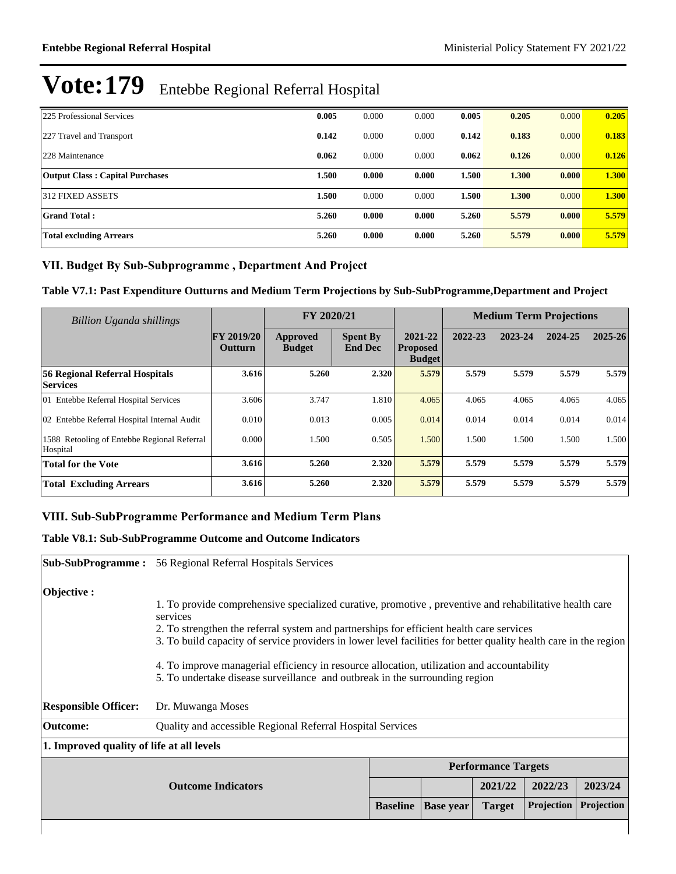| 225 Professional Services              | 0.005 | 0.000 | 0.000 | 0.005 | 0.205 | 0.000 | 0.205 |
|----------------------------------------|-------|-------|-------|-------|-------|-------|-------|
| 227 Travel and Transport               | 0.142 | 0.000 | 0.000 | 0.142 | 0.183 | 0.000 | 0.183 |
| 228 Maintenance                        | 0.062 | 0.000 | 0.000 | 0.062 | 0.126 | 0.000 | 0.126 |
| <b>Output Class: Capital Purchases</b> | 1.500 | 0.000 | 0.000 | 1.500 | 1.300 | 0.000 | 1.300 |
| 312 FIXED ASSETS                       | 1.500 | 0.000 | 0.000 | 1.500 | 1.300 | 0.000 | 1.300 |
| <b>Grand Total:</b>                    | 5.260 | 0.000 | 0.000 | 5.260 | 5.579 | 0.000 | 5.579 |
| <b>Total excluding Arrears</b>         | 5.260 | 0.000 | 0.000 | 5.260 | 5.579 | 0.000 | 5.579 |

## VII. Budget By Sub-Subprogramme, Department And Project

**Table V7.1: Past Expenditure Outturns and Medium Term Projections by Sub-SubProgramme,Department and Project**

| Billion Uganda shillings                                 |                                     | FY 2020/21                |                                   |                                             | <b>Medium Term Projections</b> |         |         |             |
|----------------------------------------------------------|-------------------------------------|---------------------------|-----------------------------------|---------------------------------------------|--------------------------------|---------|---------|-------------|
|                                                          | <b>FY 2019/20</b><br><b>Outturn</b> | Approved<br><b>Budget</b> | <b>Spent By</b><br><b>End Dec</b> | 2021-22<br><b>Proposed</b><br><b>Budget</b> | 2022-23                        | 2023-24 | 2024-25 | $2025 - 26$ |
| <b>56 Regional Referral Hospitals</b><br><b>Services</b> | 3.616                               | 5.260                     | 2.320                             | 5.579                                       | 5.579                          | 5.579   | 5.579   | 5.579       |
| 01 Entebbe Referral Hospital Services                    | 3.606                               | 3.747                     | 1.810                             | 4.065                                       | 4.065                          | 4.065   | 4.065   | 4.065       |
| 02 Entebbe Referral Hospital Internal Audit              | 0.010                               | 0.013                     | 0.005                             | 0.014                                       | 0.014                          | 0.014   | 0.014   | 0.014       |
| 1588 Retooling of Entebbe Regional Referral<br>Hospital  | 0.000                               | 1.500                     | 0.505                             | 1.500                                       | 1.500                          | 1.500   | 1.500   | 1.500       |
| <b>Total for the Vote</b>                                | 3.616                               | 5.260                     | 2.320                             | 5.579                                       | 5.579                          | 5.579   | 5.579   | 5.579       |
| <b>Total Excluding Arrears</b>                           | 3.616                               | 5.260                     | 2.320                             | 5.579                                       | 5.579                          | 5.579   | 5.579   | 5.579       |

## **VIII. Sub-SubProgramme Performance and Medium Term Plans**

## **Table V8.1: Sub-SubProgramme Outcome and Outcome Indicators**

|                                           | <b>Sub-SubProgramme:</b> 56 Regional Referral Hospitals Services                                                                                                                                             |                  |               |                            |            |  |  |  |
|-------------------------------------------|--------------------------------------------------------------------------------------------------------------------------------------------------------------------------------------------------------------|------------------|---------------|----------------------------|------------|--|--|--|
| Objective :                               |                                                                                                                                                                                                              |                  |               |                            |            |  |  |  |
|                                           | 1. To provide comprehensive specialized curative, promotive, preventive and rehabilitative health care<br>services                                                                                           |                  |               |                            |            |  |  |  |
|                                           | 2. To strengthen the referral system and partnerships for efficient health care services<br>3. To build capacity of service providers in lower level facilities for better quality health care in the region |                  |               |                            |            |  |  |  |
|                                           | 4. To improve managerial efficiency in resource allocation, utilization and accountability<br>5. To undertake disease surveillance and outbreak in the surrounding region                                    |                  |               |                            |            |  |  |  |
| <b>Responsible Officer:</b>               | Dr. Muwanga Moses                                                                                                                                                                                            |                  |               |                            |            |  |  |  |
| Outcome:                                  | Quality and accessible Regional Referral Hospital Services                                                                                                                                                   |                  |               |                            |            |  |  |  |
| 1. Improved quality of life at all levels |                                                                                                                                                                                                              |                  |               |                            |            |  |  |  |
|                                           |                                                                                                                                                                                                              |                  |               | <b>Performance Targets</b> |            |  |  |  |
|                                           |                                                                                                                                                                                                              |                  | 2021/22       | 2022/23                    | 2023/24    |  |  |  |
|                                           | <b>Baseline</b>                                                                                                                                                                                              | <b>Base year</b> | <b>Target</b> | <b>Projection</b>          | Projection |  |  |  |
|                                           |                                                                                                                                                                                                              |                  |               |                            |            |  |  |  |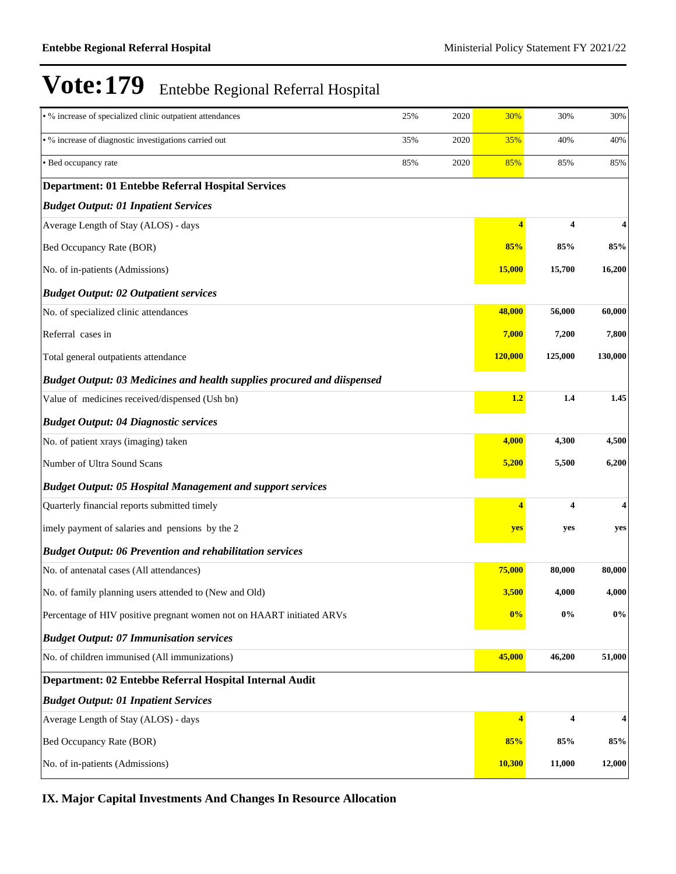| • % increase of specialized clinic outpatient attendances                      | 25% | 2020 | 30%                     | 30%                     | 30%     |
|--------------------------------------------------------------------------------|-----|------|-------------------------|-------------------------|---------|
| • % increase of diagnostic investigations carried out                          | 35% | 2020 | 35%                     | 40%                     | 40%     |
| • Bed occupancy rate                                                           | 85% | 2020 | 85%                     | 85%                     | 85%     |
| <b>Department: 01 Entebbe Referral Hospital Services</b>                       |     |      |                         |                         |         |
| <b>Budget Output: 01 Inpatient Services</b>                                    |     |      |                         |                         |         |
| Average Length of Stay (ALOS) - days                                           |     |      | $\overline{\mathbf{4}}$ | 4                       | 4       |
| Bed Occupancy Rate (BOR)                                                       |     |      | 85%                     | 85%                     | 85%     |
| No. of in-patients (Admissions)                                                |     |      | <b>15,000</b>           | 15,700                  | 16,200  |
| <b>Budget Output: 02 Outpatient services</b>                                   |     |      |                         |                         |         |
| No. of specialized clinic attendances                                          |     |      | 48,000                  | 56,000                  | 60,000  |
| Referral cases in                                                              |     |      | 7,000                   | 7,200                   | 7,800   |
| Total general outpatients attendance                                           |     |      | <b>120,000</b>          | 125,000                 | 130,000 |
| <b>Budget Output: 03 Medicines and health supplies procured and diispensed</b> |     |      |                         |                         |         |
| Value of medicines received/dispensed (Ush bn)                                 |     |      | 1.2                     | 1.4                     | 1.45    |
| <b>Budget Output: 04 Diagnostic services</b>                                   |     |      |                         |                         |         |
| No. of patient xrays (imaging) taken                                           |     |      | 4,000                   | 4,300                   | 4,500   |
| Number of Ultra Sound Scans                                                    |     |      | 5,200                   | 5,500                   | 6,200   |
| <b>Budget Output: 05 Hospital Management and support services</b>              |     |      |                         |                         |         |
| Quarterly financial reports submitted timely                                   |     |      | 4                       | 4                       | 4       |
| imely payment of salaries and pensions by the 2                                |     |      | yes                     | yes                     | yes     |
| <b>Budget Output: 06 Prevention and rehabilitation services</b>                |     |      |                         |                         |         |
| No. of antenatal cases (All attendances)                                       |     |      | 75,000                  | 80,000                  | 80,000  |
| No. of family planning users attended to (New and Old)                         |     |      | 3,500                   | 4,000                   | 4,000   |
| Percentage of HIV positive pregnant women not on HAART initiated ARVs          |     |      | 0%                      | $0\%$                   | $0\%$   |
| <b>Budget Output: 07 Immunisation services</b>                                 |     |      |                         |                         |         |
| No. of children immunised (All immunizations)                                  |     |      | 45,000                  | 46,200                  | 51,000  |
| Department: 02 Entebbe Referral Hospital Internal Audit                        |     |      |                         |                         |         |
| <b>Budget Output: 01 Inpatient Services</b>                                    |     |      |                         |                         |         |
| Average Length of Stay (ALOS) - days                                           |     |      | $\overline{\mathbf{4}}$ | $\overline{\mathbf{4}}$ | 4       |
| Bed Occupancy Rate (BOR)                                                       |     |      | 85%                     | 85%                     | 85%     |
| No. of in-patients (Admissions)                                                |     |      | <b>10,300</b>           | 11,000                  | 12,000  |

# **IX. Major Capital Investments And Changes In Resource Allocation**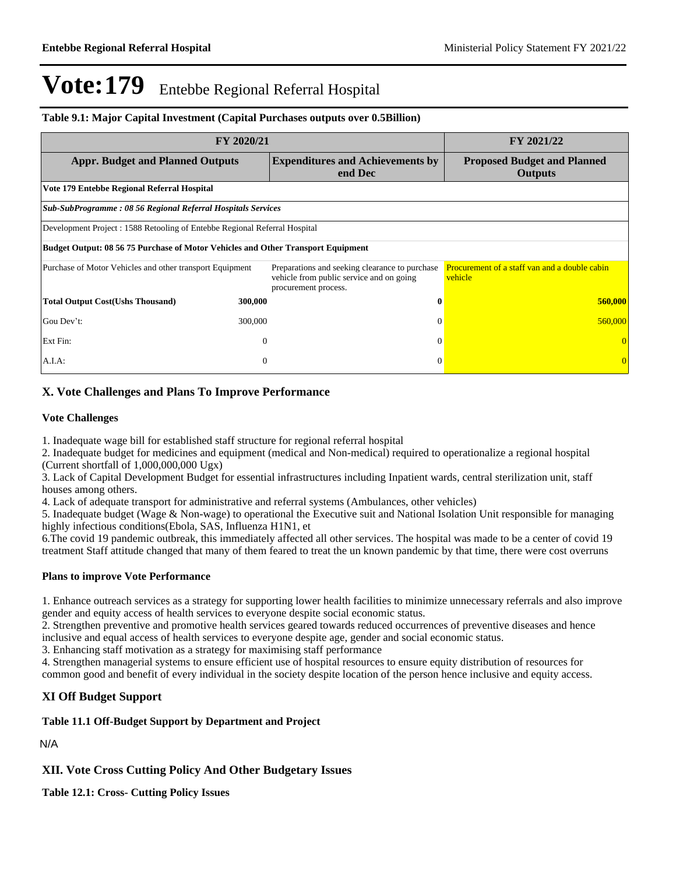### **Table 9.1: Major Capital Investment (Capital Purchases outputs over 0.5Billion)**

| FY 2020/21                                                                       |                                                                                                                    | FY 2021/22                                                      |  |  |  |  |  |  |
|----------------------------------------------------------------------------------|--------------------------------------------------------------------------------------------------------------------|-----------------------------------------------------------------|--|--|--|--|--|--|
| <b>Appr. Budget and Planned Outputs</b>                                          | <b>Expenditures and Achievements by</b><br>end Dec                                                                 | <b>Proposed Budget and Planned</b><br><b>Outputs</b>            |  |  |  |  |  |  |
| Vote 179 Entebbe Regional Referral Hospital                                      |                                                                                                                    |                                                                 |  |  |  |  |  |  |
| Sub-SubProgramme: 08 56 Regional Referral Hospitals Services                     |                                                                                                                    |                                                                 |  |  |  |  |  |  |
| Development Project : 1588 Retooling of Entebbe Regional Referral Hospital       |                                                                                                                    |                                                                 |  |  |  |  |  |  |
| Budget Output: 08 56 75 Purchase of Motor Vehicles and Other Transport Equipment |                                                                                                                    |                                                                 |  |  |  |  |  |  |
| Purchase of Motor Vehicles and other transport Equipment                         | Preparations and seeking clearance to purchase<br>vehicle from public service and on going<br>procurement process. | <b>Procurement of a staff van and a double cabin</b><br>vehicle |  |  |  |  |  |  |
| <b>Total Output Cost(Ushs Thousand)</b><br>300,000                               | 0                                                                                                                  | 560,000                                                         |  |  |  |  |  |  |
| Gou Dev't:<br>300,000                                                            | $\Omega$                                                                                                           | 560,000                                                         |  |  |  |  |  |  |
| Ext Fin:                                                                         | $\Omega$<br>$\Omega$                                                                                               |                                                                 |  |  |  |  |  |  |
| A.I.A.                                                                           | $\theta$<br>$\Omega$                                                                                               |                                                                 |  |  |  |  |  |  |

## **X. Vote Challenges and Plans To Improve Performance**

### **Vote Challenges**

1. Inadequate wage bill for established staff structure for regional referral hospital

2. Inadequate budget for medicines and equipment (medical and Non-medical) required to operationalize a regional hospital (Current shortfall of 1,000,000,000 Ugx)

3. Lack of Capital Development Budget for essential infrastructures including Inpatient wards, central sterilization unit, staff houses among others.

4. Lack of adequate transport for administrative and referral systems (Ambulances, other vehicles)

5. Inadequate budget (Wage & Non-wage) to operational the Executive suit and National Isolation Unit responsible for managing highly infectious conditions(Ebola, SAS, Influenza H1N1, et

6.The covid 19 pandemic outbreak, this immediately affected all other services. The hospital was made to be a center of covid 19 treatment Staff attitude changed that many of them feared to treat the un known pandemic by that time, there were cost overruns

## **Plans to improve Vote Performance**

1. Enhance outreach services as a strategy for supporting lower health facilities to minimize unnecessary referrals and also improve gender and equity access of health services to everyone despite social economic status.

2. Strengthen preventive and promotive health services geared towards reduced occurrences of preventive diseases and hence inclusive and equal access of health services to everyone despite age, gender and social economic status.

3. Enhancing staff motivation as a strategy for maximising staff performance

4. Strengthen managerial systems to ensure efficient use of hospital resources to ensure equity distribution of resources for common good and benefit of every individual in the society despite location of the person hence inclusive and equity access.

## **XI Off Budget Support**

### **Table 11.1 Off-Budget Support by Department and Project**

### N/A

**XII. Vote Cross Cutting Policy And Other Budgetary Issues**

**Table 12.1: Cross- Cutting Policy Issues**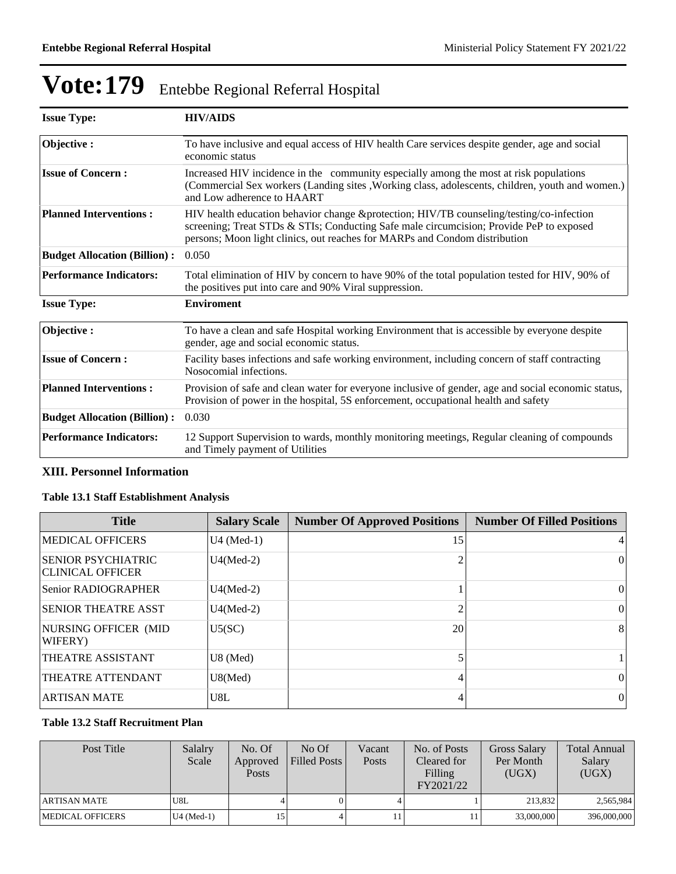| <b>Issue Type:</b>                  | <b>HIV/AIDS</b>                                                                                                                                                                                                                                                  |
|-------------------------------------|------------------------------------------------------------------------------------------------------------------------------------------------------------------------------------------------------------------------------------------------------------------|
| Objective:                          | To have inclusive and equal access of HIV health Care services despite gender, age and social<br>economic status                                                                                                                                                 |
| <b>Issue of Concern:</b>            | Increased HIV incidence in the community especially among the most at risk populations<br>(Commercial Sex workers (Landing sites , Working class, adolescents, children, youth and women.)<br>and Low adherence to HAART                                         |
| <b>Planned Interventions:</b>       | HIV health education behavior change &protection HIV/TB counseling/testing/co-infection<br>screening; Treat STDs & STIs; Conducting Safe male circumcision; Provide PeP to exposed<br>persons; Moon light clinics, out reaches for MARPs and Condom distribution |
| <b>Budget Allocation (Billion):</b> | 0.050                                                                                                                                                                                                                                                            |
| <b>Performance Indicators:</b>      | Total elimination of HIV by concern to have 90% of the total population tested for HIV, 90% of<br>the positives put into care and 90% Viral suppression.                                                                                                         |
| <b>Issue Type:</b>                  | <b>Enviroment</b>                                                                                                                                                                                                                                                |
| Objective:                          | To have a clean and safe Hospital working Environment that is accessible by everyone despite<br>gender, age and social economic status.                                                                                                                          |
| <b>Issue of Concern:</b>            | Facility bases infections and safe working environment, including concern of staff contracting<br>Nosocomial infections.                                                                                                                                         |
| <b>Planned Interventions:</b>       | Provision of safe and clean water for everyone inclusive of gender, age and social economic status,<br>Provision of power in the hospital, 5S enforcement, occupational health and safety                                                                        |
| <b>Budget Allocation (Billion):</b> | 0.030                                                                                                                                                                                                                                                            |
| <b>Performance Indicators:</b>      | 12 Support Supervision to wards, monthly monitoring meetings, Regular cleaning of compounds<br>and Timely payment of Utilities                                                                                                                                   |

## **XIII. Personnel Information**

## **Table 13.1 Staff Establishment Analysis**

| <b>Title</b>                                         | <b>Salary Scale</b> | <b>Number Of Approved Positions</b> | <b>Number Of Filled Positions</b> |
|------------------------------------------------------|---------------------|-------------------------------------|-----------------------------------|
| <b>MEDICAL OFFICERS</b>                              | $U4$ (Med-1)        | 15                                  | 4                                 |
| <b>SENIOR PSYCHIATRIC</b><br><b>CLINICAL OFFICER</b> | $U4(Med-2)$         |                                     | $\mathbf{0}$                      |
| Senior RADIOGRAPHER                                  | $U4(Med-2)$         |                                     | $\theta$                          |
| <b>SENIOR THEATRE ASST</b>                           | $U4(Med-2)$         |                                     | $\theta$                          |
| NURSING OFFICER (MID<br>WIFERY)                      | U5(SC)              | 20                                  | 8                                 |
| THEATRE ASSISTANT                                    | $U8$ (Med)          |                                     |                                   |
| THEATRE ATTENDANT                                    | U8(Med)             | 4                                   | $\theta$                          |
| <b>ARTISAN MATE</b>                                  | U8L                 | 4                                   | $\overline{0}$                    |

## **Table 13.2 Staff Recruitment Plan**

| Post Title              | Salalry<br>Scale | No. Of<br>Approved<br><b>Posts</b> | No Of<br>Filled Posts | Vacant<br>Posts | No. of Posts<br>Cleared for<br>Filling<br>FY2021/22 | <b>Gross Salary</b><br>Per Month<br>(UGX) | <b>Total Annual</b><br>Salary<br>(UGX) |
|-------------------------|------------------|------------------------------------|-----------------------|-----------------|-----------------------------------------------------|-------------------------------------------|----------------------------------------|
| ARTISAN MATE            | U8L              |                                    |                       |                 |                                                     | 213.832                                   | 2,565,984                              |
| <b>MEDICAL OFFICERS</b> | $U4$ (Med-1)     | 15                                 |                       |                 |                                                     | 33,000,000                                | 396,000,000                            |